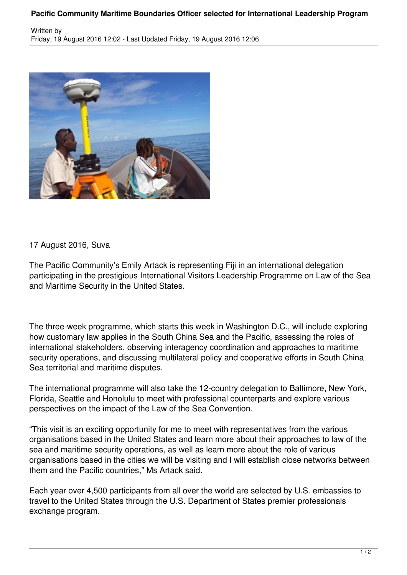## **Pacific Community Maritime Boundaries Officer selected for International Leadership Program**



## 17 August 2016, Suva

The Pacific Community's Emily Artack is representing Fiji in an international delegation participating in the prestigious International Visitors Leadership Programme on Law of the Sea and Maritime Security in the United States.

The three-week programme, which starts this week in Washington D.C., will include exploring how customary law applies in the South China Sea and the Pacific, assessing the roles of international stakeholders, observing interagency coordination and approaches to maritime security operations, and discussing multilateral policy and cooperative efforts in South China Sea territorial and maritime disputes.

The international programme will also take the 12-country delegation to Baltimore, New York, Florida, Seattle and Honolulu to meet with professional counterparts and explore various perspectives on the impact of the Law of the Sea Convention.

"This visit is an exciting opportunity for me to meet with representatives from the various organisations based in the United States and learn more about their approaches to law of the sea and maritime security operations, as well as learn more about the role of various organisations based in the cities we will be visiting and I will establish close networks between them and the Pacific countries," Ms Artack said.

Each year over 4,500 participants from all over the world are selected by U.S. embassies to travel to the United States through the U.S. Department of States premier professionals exchange program.